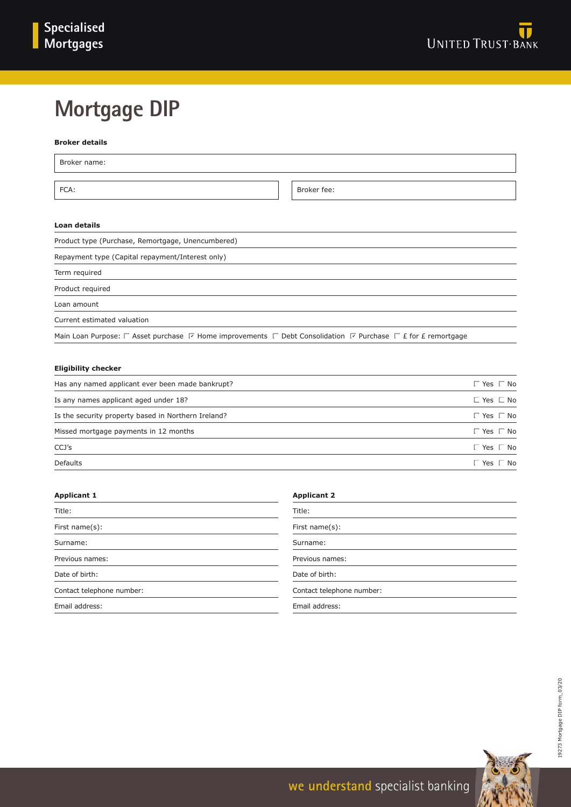# **Mortgage DIP**

## **Broker details**

FCA: Broker fee:

# **Loan details**

| Product type (Purchase, Remortgage, Unencumbered)                                                                                                           |  |  |
|-------------------------------------------------------------------------------------------------------------------------------------------------------------|--|--|
| Repayment type (Capital repayment/Interest only)                                                                                                            |  |  |
| Term required                                                                                                                                               |  |  |
| Product required                                                                                                                                            |  |  |
| Loan amount                                                                                                                                                 |  |  |
| Current estimated valuation                                                                                                                                 |  |  |
| Main Loan Purpose: $\Gamma$ Asset purchase $\overline{V}$ Home improvements $\Gamma$ Debt Consolidation $\overline{V}$ Purchase $\Gamma$ £ for £ remortgage |  |  |
|                                                                                                                                                             |  |  |

# **Eligibility checker**

| Has any named applicant ever been made bankrupt?    | $\Gamma$ Yes $\Gamma$ No |
|-----------------------------------------------------|--------------------------|
| Is any names applicant aged under 18?               | $L$ Yes $L$ No           |
| Is the security property based in Northern Ireland? | $\Gamma$ Yes $\Gamma$ No |
| Missed mortgage payments in 12 months               | $\Gamma$ Yes $\Gamma$ No |
| CCJ's                                               | $\Gamma$ Yes $\Gamma$ No |
| <b>Defaults</b>                                     | $L$ Yes $L$ No           |

| <b>Applicant 1</b>        | <b>Applicant 2</b>        |
|---------------------------|---------------------------|
| Title:                    | Title:                    |
| First name(s):            | First name(s):            |
| Surname:                  | Surname:                  |
| Previous names:           | Previous names:           |
| Date of birth:            | Date of birth:            |
| Contact telephone number: | Contact telephone number: |
| Email address:            | Email address:            |

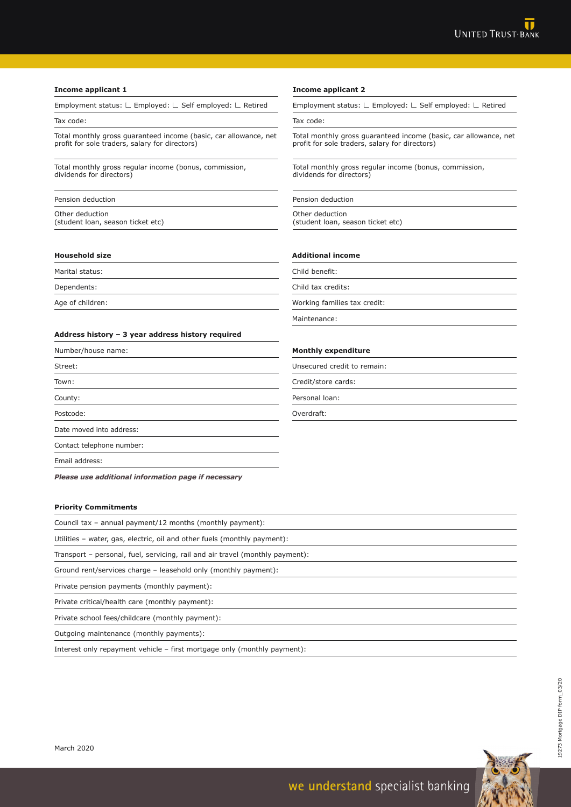| Employment status: L Employed: L Self employed: L Retired                                                          | Employment status: $□$ Employed: $□$ Self employed: $□$ Retired                                                    |
|--------------------------------------------------------------------------------------------------------------------|--------------------------------------------------------------------------------------------------------------------|
| Tax code:                                                                                                          | Tax code:                                                                                                          |
| Total monthly gross guaranteed income (basic, car allowance, net<br>profit for sole traders, salary for directors) | Total monthly gross guaranteed income (basic, car allowance, net<br>profit for sole traders, salary for directors) |
| Total monthly gross regular income (bonus, commission,<br>dividends for directors)                                 | Total monthly gross regular income (bonus, commission,<br>dividends for directors)                                 |
| Pension deduction                                                                                                  | Pension deduction                                                                                                  |
| Other deduction<br>(student loan, season ticket etc)                                                               | Other deduction<br>(student loan, season ticket etc)                                                               |
| <b>Household size</b>                                                                                              | <b>Additional income</b>                                                                                           |
| Marital status:                                                                                                    | Child benefit:                                                                                                     |
| Dependents:                                                                                                        | Child tax credits:                                                                                                 |
| Age of children:                                                                                                   | Working families tax credit:                                                                                       |
|                                                                                                                    | Maintenance:                                                                                                       |
| Address history - 3 year address history required                                                                  |                                                                                                                    |
| Number/house name:                                                                                                 | <b>Monthly expenditure</b>                                                                                         |
| Street:                                                                                                            | Unsecured credit to remain:                                                                                        |
| Town:                                                                                                              | Credit/store cards:                                                                                                |
| County:                                                                                                            | Personal loan:                                                                                                     |
| Postcode:                                                                                                          | Overdraft:                                                                                                         |
| Date moved into address:                                                                                           |                                                                                                                    |
| Contact telephone number:                                                                                          |                                                                                                                    |

**Income applicant 2**

Email address:

**Income applicant 1**

*Please use additional information page if necessary*

#### **Priority Commitments**

Council tax – annual payment/12 months (monthly payment):

Utilities – water, gas, electric, oil and other fuels (monthly payment):

Transport – personal, fuel, servicing, rail and air travel (monthly payment):

Ground rent/services charge – leasehold only (monthly payment):

Private pension payments (monthly payment):

Private critical/health care (monthly payment):

Private school fees/childcare (monthly payment):

Outgoing maintenance (monthly payments):

Interest only repayment vehicle – first mortgage only (monthly payment):

# 19273 Mortgage DIP form\_03/20 19273 Mortgage DIP form\_03/20